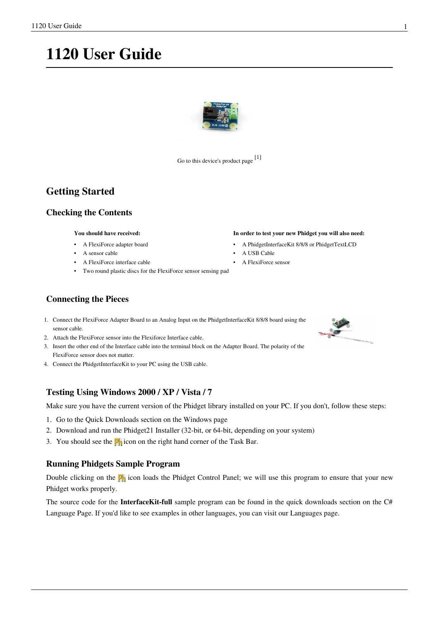# **1120 User Guide**



Go to this device's product page [\[1\]](http://www.phidgets.com/products.php?product_id=1120)

# **Getting Started**

## **Checking the Contents**

#### **You should have received:**

- A FlexiForce adapter board
- A sensor cable
- A FlexiForce interface cable
- Two round plastic discs for the FlexiForce sensor sensing pad

## **Connecting the Pieces**

- 1. Connect the FlexiForce Adapter Board to an Analog Input on the PhidgetInterfaceKit 8/8/8 board using the sensor cable.
- 2. Attach the FlexiForce sensor into the Flexiforce Interface cable.
- 3. Insert the other end of the Interface cable into the terminal block on the Adapter Board. The polarity of the FlexiForce sensor does not matter.
- 4. Connect the PhidgetInterfaceKit to your PC using the USB cable.

## **Testing Using Windows 2000 / XP / Vista / 7**

Make sure you have the current version of the Phidget library installed on your PC. If you don't, follow these steps:

- 1. Go to the Quick Downloads section on the [Windows page](http://www.phidgets.com/wiki/index.php?title=OS_-_Windows%23Quick_Downloads)
- 2. Download and run [the P](http://www.phidgets.com/wiki/index.php?title=File:Ph.jpg)hidget21 Installer (32-bit, or 64-bit, depending on your system)
- 3. You should see the  $\frac{1}{2}$  icon on the right hand corner of the Task Bar.

## **Running Phidgets Sample Program**

Double clicking on the  $\mathbf{P}_0$  icon loads the [Phidget Control Panel](http://www.phidgets.com/wiki/index.php?title=Phidget_Control_Panel); we will use this program to ensure that your new Phidget works properly.

The source code for the **InterfaceKit-full** sample program can be found in the quick downloads section on the [C#](http://www.phidgets.com/wiki/index.php?title=Language_-_C_Sharp%23Quick_Downloads) [Language Page](http://www.phidgets.com/wiki/index.php?title=Language_-_C_Sharp%23Quick_Downloads). If you'd like to see examples in other languages, you can visit our [Languages page](http://www.phidgets.com/wiki/index.php?title=Software_Overview%23Language_Support).

**In order to test your new Phidget you will also need:** • A PhidgetInterfaceKit 8/8/8 or PhidgetTextLCD

A USB Cable • A FlexiForce sensor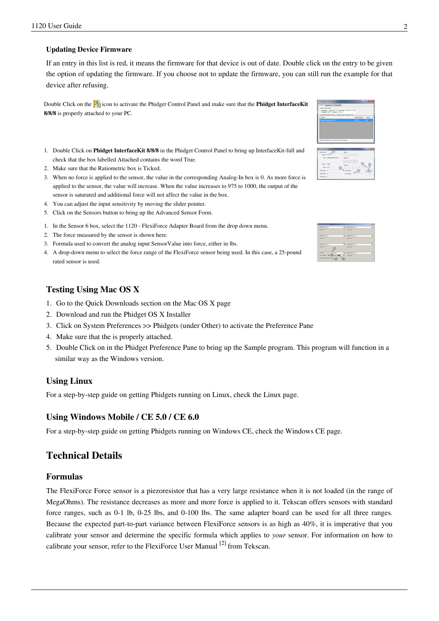#### **Updating Device Firmware**

If an entry in this list is red, it means the firmware for that device is out of date. Double click on the entry to be given the option of updating the firmware. If you choose not to update the firmware, you can still run the example for that device after refusing.

Doubl[e](http://www.phidgets.com/wiki/index.php?title=File:Ph.jpg) Click on the **P**<sub>1</sub> icon to activate the Phidget Control Panel and make sure that the **Phidget InterfaceKit 8/8/8** is properly attached to your PC.

- 1. Double Click on **Phidget InterfaceKit 8/8/8** in the Phidget Control Panel to bring up InterfaceKit-full and check that the box labelled Attached contains the word True.
- 2. Make sure that the Ratiometric box is Ticked.
- 3. When no force is applied to the sensor, the value in the corresponding Analog-In box is 0. As more force is applied to the sensor, the value will increase. When the value increases to 975 to 1000, the output of the sensor is saturated and additional force will not affect the value in the box.
- 4. You can adjust the input sensitivity by moving the slider pointer.
- 5. Click on the Sensors button to bring up the Advanced Sensor Form.
- 1. In the Sensor 6 box, select the 1120 FlexiForce Adapter Board from the drop down menu.
- 2. The force measured by the sensor is shown here.
- 3. Formula used to convert the analog input SensorValue into force, either in lbs.
- 4. A drop-down menu to select the force range of the FlexiForce sensor being used. In this case, a 25-pound rated sensor is used.

## **Testing Using Mac OS X**

- 1. Go to the Quick Downloads section on the [Mac OS X](http://www.phidgets.com/wiki/index.php?title=OS_-_OS_X%23Quick_Downloads) page
- 2. Download and run the Phidget OS X Installer
- 3. Click on System Preferences >> Phidgets (under Other) to activate the Preference Pane
- 4. Make sure that the is properly attached.
- 5. Double Click on in the Phidget Preference Pane to bring up the Sample program. This program will function in a similar way as the Windows version.

#### **Using Linux**

For a step-by-step guide on getting Phidgets running on Linux, check the [Linux p](http://www.phidgets.com/wiki/index.php?title=OS_-_Linux)age.

#### **Using Windows Mobile / CE 5.0 / CE 6.0**

For a step-by-step guide on getting Phidgets running on Windows CE, check the [Windows CE](http://www.phidgets.com/wiki/index.php?title=OS_-_Windows_CE) page.

# **Technical Details**

#### **Formulas**

The FlexiForce Force sensor is a piezoresistor that has a very large resistance when it is not loaded (in the range of MegaOhms). The resistance decreases as more and more force is applied to it. Tekscan offers sensors with standard force ranges, such as 0-1 lb, 0-25 lbs, and 0-100 lbs. The same adapter board can be used for all three ranges. Because the expected part-to-part variance between FlexiForce sensors is as high as 40%, it is imperative that you calibrate your sensor and determine the specific formula which applies to *your* sensor. For information on how to calibrate your sensor, refer to the FlexiForce User Manual <sup>[2]</sup> from Tekscan.

|        | General WebService PhidoetSBC |                                                                                             |              |                |
|--------|-------------------------------|---------------------------------------------------------------------------------------------|--------------|----------------|
|        | Library Information           |                                                                                             |              |                |
|        |                               | Philoso21 - Version 2.1.8 - Built Sep 12 2012 11:17:45<br>Phidoso21 NET - Version 2.1.8.118 |              |                |
|        |                               | Locally Attached Devices: (Double click to launch UD                                        |              |                |
| Device |                               |                                                                                             | Sedal Number | <b>Version</b> |
|        | Philadel Interfaceedd SUSUS   |                                                                                             | 175581       | soa            |
|        |                               |                                                                                             |              |                |
|        |                               | 2 Start Phidaet Control Panel with Infedora?                                                |              |                |

| <b>DarfurCt All</b>               |                                 |                                  |
|-----------------------------------|---------------------------------|----------------------------------|
| diam <sup>2</sup><br><b>Nated</b> | Top.                            | d in<br>nnnnn<br>1 1 2 1 4 5 5 7 |
|                                   | Same: Product Interface/O A/S/S | Dunal Out<br>4.5.8.7<br>0121     |
| Seattle: 2020                     |                                 | Antiop In                        |
| Week, 48                          |                                 |                                  |
| DateDream 1                       |                                 |                                  |
| Detail Dutcher 1                  |                                 | <b>Inst Service</b><br>.         |
| Analysing C                       |                                 |                                  |

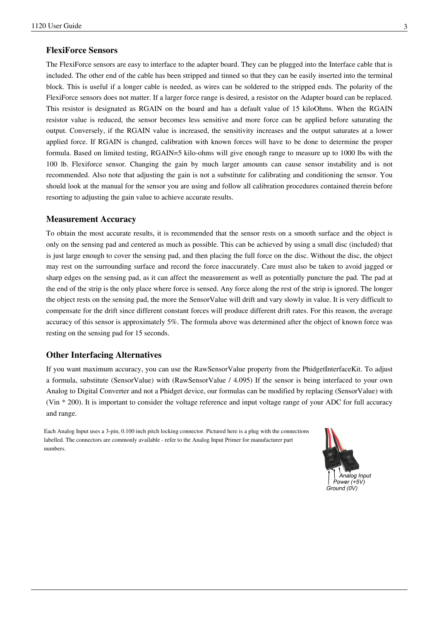#### **FlexiForce Sensors**

The FlexiForce sensors are easy to interface to the adapter board. They can be plugged into the Interface cable that is included. The other end of the cable has been stripped and tinned so that they can be easily inserted into the terminal block. This is useful if a longer cable is needed, as wires can be soldered to the stripped ends. The polarity of the FlexiForce sensors does not matter. If a larger force range is desired, a resistor on the Adapter board can be replaced. This resistor is designated as RGAIN on the board and has a default value of 15 kiloOhms. When the RGAIN resistor value is reduced, the sensor becomes less sensitive and more force can be applied before saturating the output. Conversely, if the RGAIN value is increased, the sensitivity increases and the output saturates at a lower applied force. If RGAIN is changed, calibration with known forces will have to be done to determine the proper formula. Based on limited testing, RGAIN=5 kilo-ohms will give enough range to measure up to 1000 lbs with the 100 lb. Flexiforce sensor. Changing the gain by much larger amounts can cause sensor instability and is not recommended. Also note that adjusting the gain is not a substitute for calibrating and conditioning the sensor. You should look at the manual for the sensor you are using and follow all calibration procedures contained therein before resorting to adjusting the gain value to achieve accurate results.

#### **Measurement Accuracy**

To obtain the most accurate results, it is recommended that the sensor rests on a smooth surface and the object is only on the sensing pad and centered as much as possible. This can be achieved by using a small disc (included) that is just large enough to cover the sensing pad, and then placing the full force on the disc. Without the disc, the object may rest on the surrounding surface and record the force inaccurately. Care must also be taken to avoid jagged or sharp edges on the sensing pad, as it can affect the measurement as well as potentially puncture the pad. The pad at the end of the strip is the only place where force is sensed. Any force along the rest of the strip is ignored. The longer the object rests on the sensing pad, the more the SensorValue will drift and vary slowly in value. It is very difficult to compensate for the drift since different constant forces will produce different drift rates. For this reason, the average accuracy of this sensor is approximately 5%. The formula above was determined after the object of known force was resting on the sensing pad for 15 seconds.

#### **Other Interfacing Alternatives**

If you want maximum accuracy, you can use the RawSensorValue property from the PhidgetInterfaceKit. To adjust a formula, substitute (SensorValue) with (RawSensorValue / 4.095) If the sensor is being interfaced to your own Analog to Digital Converter and not a Phidget device, our formulas can be modified by replacing (SensorValue) with (Vin \* 200). It is important to consider the voltage reference and input voltage range of your ADC for full accuracy and range.

Each Analog Input uses a 3-pin, 0.100 inch pitch locking connector. Pictured here is a plug with the connections labelled. The connectors are commonly available - refer to the [Analog Input Primer f](http://www.phidgets.com/wiki/index.php?title=Analog_Input_Primer)or manufacturer part numbers.

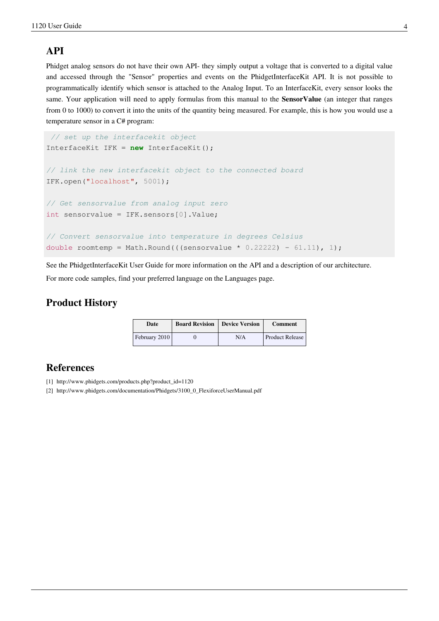# **API**

Phidget analog sensors do not have their own API- they simply output a voltage that is converted to a digital value and accessed through the "Sensor" properties and events on the PhidgetInterfaceKit API. It is not possible to programmatically identify which sensor is attached to the Analog Input. To an InterfaceKit, every sensor looks the same. Your application will need to apply formulas from this manual to the **SensorValue** (an integer that ranges from 0 to 1000) to convert it into the units of the quantity being measured. For example, this is how you would use a temperature sensor in a [C#](http://www.phidgets.com/wiki/index.php?title=Language_-_C_Sharp) program:

```
// set up the interfacekit object
InterfaceKit IFK = new InterfaceKit();
// link the new interfacekit object to the connected board
IFK.open("localhost", 5001);
// Get sensorvalue from analog input zero
int sensorvalue = IFK.sensors[0].Value;
// Convert sensorvalue into temperature in degrees Celsius
double roomtemp = Math.Round(((sensorvalue * 0.22222) - 61.11), 1);
```
See the [PhidgetInterfaceKit User Guide](http://www.phidgets.com/wiki/index.php?title=1018_User_Guide) for more information on the API and a description of our architecture. For more code samples, find your preferred language on the [Languages p](http://www.phidgets.com/wiki/index.php?title=Software_Overview%23Language_Support)age.

# **Product History**

| Date          | <b>Board Revision   Device Version</b> |     | <b>Comment</b>  |
|---------------|----------------------------------------|-----|-----------------|
| February 2010 |                                        | N/A | Product Release |

# **References**

- [1] [http://www.phidgets.com/products.php?product\\_id=1120](http://www.phidgets.com/products.php?product_id=1120)
- [2] [http://www.phidgets.com/documentation/Phidgets/3100\\_0\\_FlexiforceUserManual.pdf](http://www.phidgets.com/documentation/Phidgets/3100_0_FlexiforceUserManual.pdf)